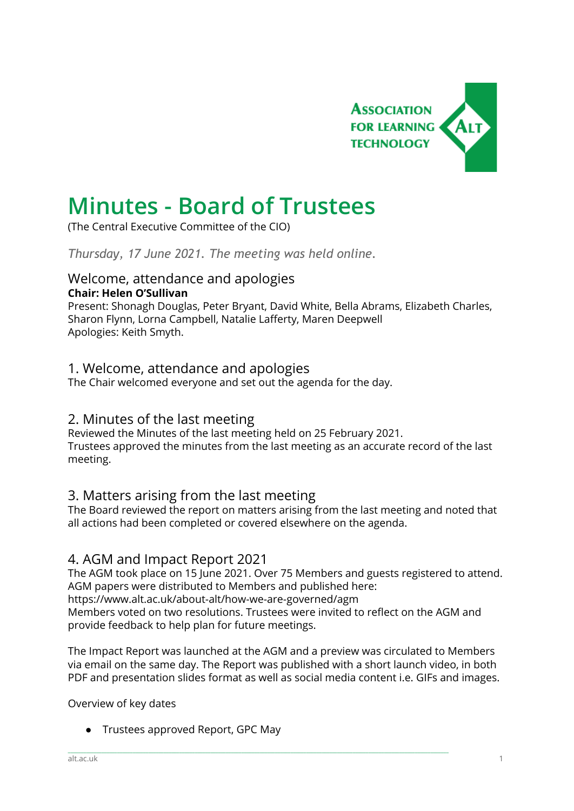

# **Minutes - Board of Trustees**

(The Central Executive Committee of the CIO)

*Thursday, 17 June 2021. The meeting was held online.*

#### Welcome, attendance and apologies **Chair: Helen O'Sullivan**

Present: Shonagh Douglas, Peter Bryant, David White, Bella Abrams, Elizabeth Charles, Sharon Flynn, Lorna Campbell, Natalie Lafferty, Maren Deepwell Apologies: Keith Smyth.

# 1. Welcome, attendance and apologies

The Chair welcomed everyone and set out the agenda for the day.

## 2. Minutes of the last meeting

Reviewed the Minutes of the last meeting held on 25 February 2021. Trustees approved the minutes from the last meeting as an accurate record of the last meeting.

# 3. Matters arising from the last meeting

The Board reviewed the report on matters arising from the last meeting and noted that all actions had been completed or covered elsewhere on the agenda.

## 4. AGM and Impact Report 2021

The AGM took place on 15 June 2021. Over 75 Members and guests registered to attend. AGM papers were distributed to Members and published here: https://www.alt.ac.uk/about-alt/how-we-are-governed/agm Members voted on two resolutions. Trustees were invited to reflect on the AGM and provide feedback to help plan for future meetings.

The Impact Report was launched at the AGM and a preview was circulated to Members via email on the same day. The Report was published with a short launch video, in both PDF and presentation slides format as well as social media content i.e. GIFs and images.

\_\_\_\_\_\_\_\_\_\_\_\_\_\_\_\_\_\_\_\_\_\_\_\_\_\_\_\_\_\_\_\_\_\_\_\_\_\_\_\_\_\_\_\_\_\_\_\_\_\_\_\_\_\_\_\_\_\_\_\_\_\_\_\_\_\_\_\_\_\_\_\_\_\_\_\_\_\_\_\_\_\_\_\_\_\_\_\_\_\_\_\_\_\_\_\_\_\_\_\_\_\_\_\_\_\_\_\_\_\_\_\_\_\_\_\_\_\_\_\_\_\_\_\_\_\_\_\_\_\_\_\_\_\_\_\_\_\_\_\_\_\_\_\_\_\_\_

Overview of key dates

● Trustees approved Report, GPC May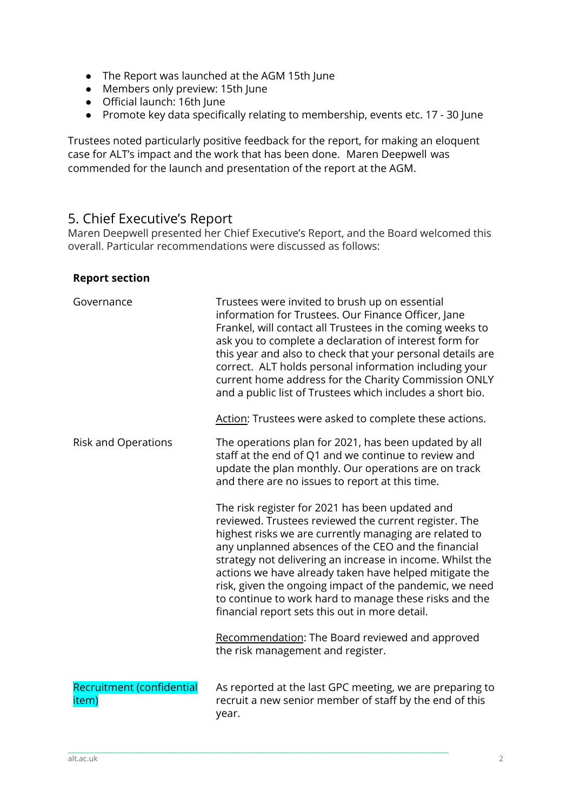- The Report was launched at the AGM 15th June
- Members only preview: 15th June
- Official launch: 16th June
- Promote key data specifically relating to membership, events etc. 17 30 June

Trustees noted particularly positive feedback for the report, for making an eloquent case for ALT's impact and the work that has been done. Maren [Deepwell](mailto:marendeepwell@gmail.com) was commended for the launch and presentation of the report at the AGM.

# 5. Chief Executive's Report

Maren Deepwell presented her Chief Executive's Report, and the Board welcomed this overall. Particular recommendations were discussed as follows:

#### **Report section**

| Governance                         | Trustees were invited to brush up on essential<br>information for Trustees. Our Finance Officer, Jane<br>Frankel, will contact all Trustees in the coming weeks to<br>ask you to complete a declaration of interest form for<br>this year and also to check that your personal details are<br>correct. ALT holds personal information including your<br>current home address for the Charity Commission ONLY<br>and a public list of Trustees which includes a short bio.<br>Action: Trustees were asked to complete these actions. |
|------------------------------------|-------------------------------------------------------------------------------------------------------------------------------------------------------------------------------------------------------------------------------------------------------------------------------------------------------------------------------------------------------------------------------------------------------------------------------------------------------------------------------------------------------------------------------------|
| <b>Risk and Operations</b>         | The operations plan for 2021, has been updated by all<br>staff at the end of Q1 and we continue to review and<br>update the plan monthly. Our operations are on track<br>and there are no issues to report at this time.                                                                                                                                                                                                                                                                                                            |
|                                    | The risk register for 2021 has been updated and<br>reviewed. Trustees reviewed the current register. The<br>highest risks we are currently managing are related to<br>any unplanned absences of the CEO and the financial<br>strategy not delivering an increase in income. Whilst the<br>actions we have already taken have helped mitigate the<br>risk, given the ongoing impact of the pandemic, we need<br>to continue to work hard to manage these risks and the<br>financial report sets this out in more detail.             |
|                                    | Recommendation: The Board reviewed and approved<br>the risk management and register.                                                                                                                                                                                                                                                                                                                                                                                                                                                |
| Recruitment (confidential<br>item) | As reported at the last GPC meeting, we are preparing to<br>recruit a new senior member of staff by the end of this<br>year.                                                                                                                                                                                                                                                                                                                                                                                                        |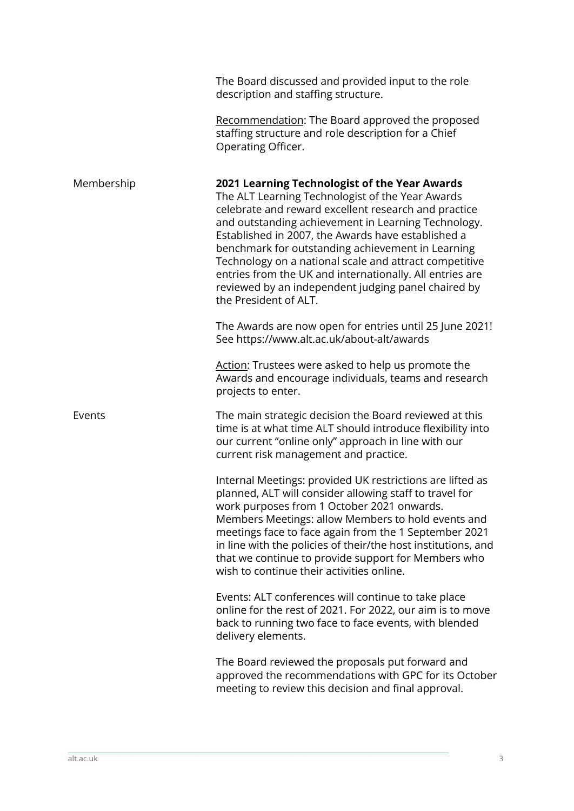|            | The Board discussed and provided input to the role<br>description and staffing structure.                                                                                                                                                                                                                                                                                                                                                                                                                                         |
|------------|-----------------------------------------------------------------------------------------------------------------------------------------------------------------------------------------------------------------------------------------------------------------------------------------------------------------------------------------------------------------------------------------------------------------------------------------------------------------------------------------------------------------------------------|
|            | Recommendation: The Board approved the proposed<br>staffing structure and role description for a Chief<br>Operating Officer.                                                                                                                                                                                                                                                                                                                                                                                                      |
| Membership | 2021 Learning Technologist of the Year Awards<br>The ALT Learning Technologist of the Year Awards<br>celebrate and reward excellent research and practice<br>and outstanding achievement in Learning Technology.<br>Established in 2007, the Awards have established a<br>benchmark for outstanding achievement in Learning<br>Technology on a national scale and attract competitive<br>entries from the UK and internationally. All entries are<br>reviewed by an independent judging panel chaired by<br>the President of ALT. |
|            | The Awards are now open for entries until 25 June 2021!<br>See https://www.alt.ac.uk/about-alt/awards                                                                                                                                                                                                                                                                                                                                                                                                                             |
|            | Action: Trustees were asked to help us promote the<br>Awards and encourage individuals, teams and research<br>projects to enter.                                                                                                                                                                                                                                                                                                                                                                                                  |
| Events     | The main strategic decision the Board reviewed at this<br>time is at what time ALT should introduce flexibility into<br>our current "online only" approach in line with our<br>current risk management and practice.                                                                                                                                                                                                                                                                                                              |
|            | Internal Meetings: provided UK restrictions are lifted as<br>planned, ALT will consider allowing staff to travel for<br>work purposes from 1 October 2021 onwards.<br>Members Meetings: allow Members to hold events and<br>meetings face to face again from the 1 September 2021<br>in line with the policies of their/the host institutions, and<br>that we continue to provide support for Members who<br>wish to continue their activities online.                                                                            |
|            | Events: ALT conferences will continue to take place<br>online for the rest of 2021. For 2022, our aim is to move<br>back to running two face to face events, with blended<br>delivery elements.                                                                                                                                                                                                                                                                                                                                   |
|            | The Board reviewed the proposals put forward and<br>approved the recommendations with GPC for its October<br>meeting to review this decision and final approval.                                                                                                                                                                                                                                                                                                                                                                  |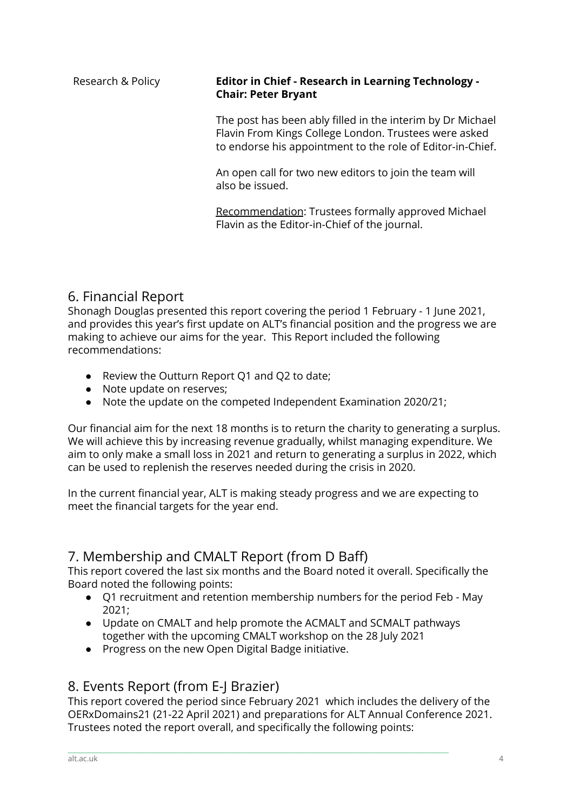#### Research & Policy **Editor in Chief - Research in Learning Technology - Chair: Peter Bryant**

The post has been ably filled in the interim by Dr Michael Flavin From Kings College London. Trustees were asked to endorse his appointment to the role of Editor-in-Chief.

An open call for two new editors to join the team will also be issued.

Recommendation: Trustees formally approved Michael Flavin as the Editor-in-Chief of the journal.

# 6. Financial Report

Shonagh Douglas presented this report covering the period 1 February - 1 June 2021, and provides this year's first update on ALT's financial position and the progress we are making to achieve our aims for the year. This Report included the following recommendations:

- Review the Outturn Report Q1 and Q2 to date;
- Note update on reserves;
- Note the update on the competed Independent Examination 2020/21;

Our financial aim for the next 18 months is to return the charity to generating a surplus. We will achieve this by increasing revenue gradually, whilst managing expenditure. We aim to only make a small loss in 2021 and return to generating a surplus in 2022, which can be used to replenish the reserves needed during the crisis in 2020.

In the current financial year, ALT is making steady progress and we are expecting to meet the financial targets for the year end.

# 7. Membership and CMALT Report (from D Baff)

This report covered the last six months and the Board noted it overall. Specifically the Board noted the following points:

- Q1 recruitment and retention membership numbers for the period Feb May 2021;
- Update on CMALT and help promote the ACMALT and SCMALT pathways together with the upcoming CMALT workshop on the 28 July 2021
- Progress on the new Open Digital Badge initiative.

# 8. Events Report (from E-J Brazier)

This report covered the period since February 2021 which includes the delivery of the OERxDomains21 (21-22 April 2021) and preparations for ALT Annual Conference 2021. Trustees noted the report overall, and specifically the following points: